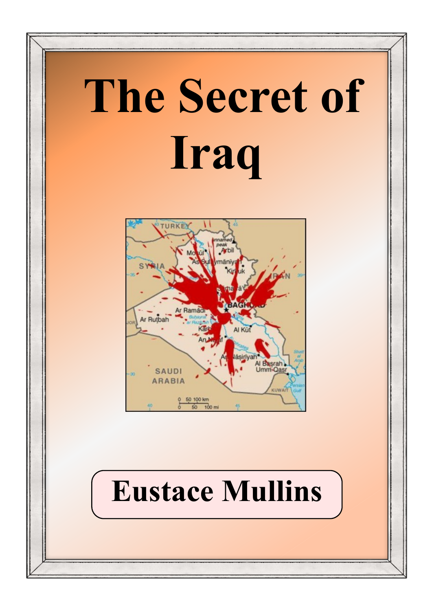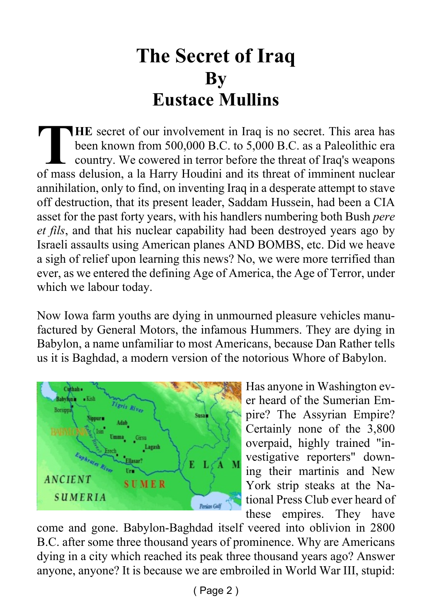#### **The Secret of Iraq By Eustace Mullins**

THE secret of our involvement in Iraq is no secret. This area has<br>been known from 500,000 B.C. to 5,000 B.C. as a Paleolithic era<br>country. We cowered in terror before the threat of Iraq's weapons<br>of mass delusion, a la Har **HE** secret of our involvement in Iraq is no secret. This area has been known from 500,000 B.C. to 5,000 B.C. as a Paleolithic era country. We cowered in terror before the threat of Iraq's weapons annihilation, only to find, on inventing Iraq in a desperate attempt to stave off destruction, that its present leader, Saddam Hussein, had been a CIA asset for the past forty years, with his handlers numbering both Bush *pere et fils*, and that his nuclear capability had been destroyed years ago by Israeli assaults using American planes AND BOMBS, etc. Did we heave a sigh of relief upon learning this news? No, we were more terrified than ever, as we entered the defining Age of America, the Age of Terror, under which we labour today.

Now Iowa farm youths are dying in unmourned pleasure vehicles manufactured by General Motors, the infamous Hummers. They are dying in Babylon, a name unfamiliar to most Americans, because Dan Rather tells us it is Baghdad, a modern version of the notorious Whore of Babylon.



Has anyone in Washington ever heard of the Sumerian Empire? The Assyrian Empire? Certainly none of the 3,800 overpaid, highly trained "investigative reporters" downing their martinis and New York strip steaks at the National Press Club ever heard of these empires. They have

come and gone. Babylon-Baghdad itself veered into oblivion in 2800 B.C. after some three thousand years of prominence. Why are Americans dying in a city which reached its peak three thousand years ago? Answer anyone, anyone? It is because we are embroiled in World War III, stupid: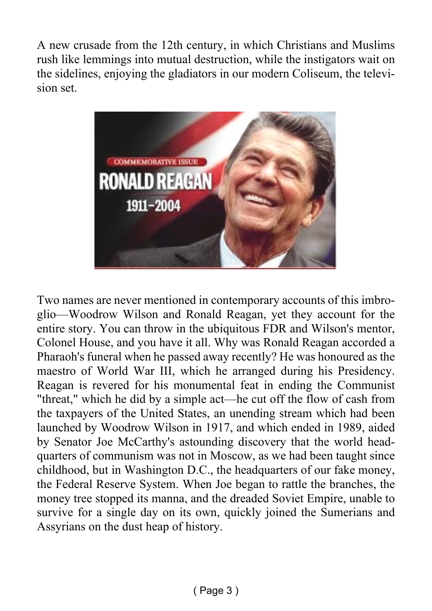A new crusade from the 12th century, in which Christians and Muslims rush like lemmings into mutual destruction, while the instigators wait on the sidelines, enjoying the gladiators in our modern Coliseum, the television set.



Two names are never mentioned in contemporary accounts of this imbroglio—Woodrow Wilson and Ronald Reagan, yet they account for the entire story. You can throw in the ubiquitous FDR and Wilson's mentor, Colonel House, and you have it all. Why was Ronald Reagan accorded a Pharaoh's funeral when he passed away recently? He was honoured as the maestro of World War III, which he arranged during his Presidency. Reagan is revered for his monumental feat in ending the Communist "threat," which he did by a simple act—he cut off the flow of cash from the taxpayers of the United States, an unending stream which had been launched by Woodrow Wilson in 1917, and which ended in 1989, aided by Senator Joe McCarthy's astounding discovery that the world headquarters of communism was not in Moscow, as we had been taught since childhood, but in Washington D.C., the headquarters of our fake money, the Federal Reserve System. When Joe began to rattle the branches, the money tree stopped its manna, and the dreaded Soviet Empire, unable to survive for a single day on its own, quickly joined the Sumerians and Assyrians on the dust heap of history.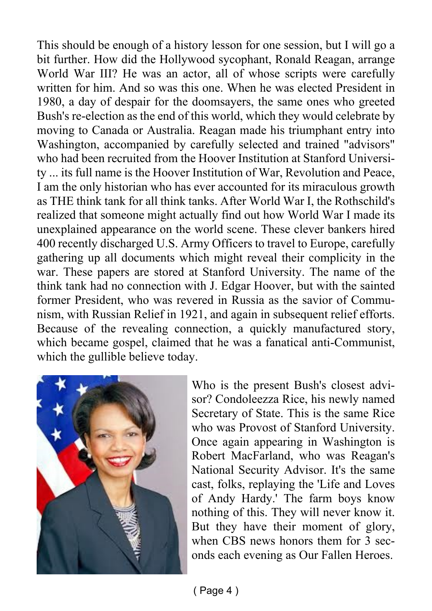This should be enough of a history lesson for one session, but I will go a bit further. How did the Hollywood sycophant, Ronald Reagan, arrange World War III? He was an actor, all of whose scripts were carefully written for him. And so was this one. When he was elected President in 1980, a day of despair for the doomsayers, the same ones who greeted Bush's re-election as the end of this world, which they would celebrate by moving to Canada or Australia. Reagan made his triumphant entry into Washington, accompanied by carefully selected and trained "advisors" who had been recruited from the Hoover Institution at Stanford University ... its full name is the Hoover Institution of War, Revolution and Peace, I am the only historian who has ever accounted for its miraculous growth as THE think tank for all think tanks. After World War I, the Rothschild's realized that someone might actually find out how World War I made its unexplained appearance on the world scene. These clever bankers hired 400 recently discharged U.S. Army Officers to travel to Europe, carefully gathering up all documents which might reveal their complicity in the war. These papers are stored at Stanford University. The name of the think tank had no connection with J. Edgar Hoover, but with the sainted former President, who was revered in Russia as the savior of Communism, with Russian Relief in 1921, and again in subsequent relief efforts. Because of the revealing connection, a quickly manufactured story, which became gospel, claimed that he was a fanatical anti-Communist, which the gullible believe today.



Who is the present Bush's closest advisor? Condoleezza Rice, his newly named Secretary of State. This is the same Rice who was Provost of Stanford University. Once again appearing in Washington is Robert MacFarland, who was Reagan's National Security Advisor. It's the same cast, folks, replaying the 'Life and Loves of Andy Hardy.' The farm boys know nothing of this. They will never know it. But they have their moment of glory, when CBS news honors them for 3 seconds each evening as Our Fallen Heroes.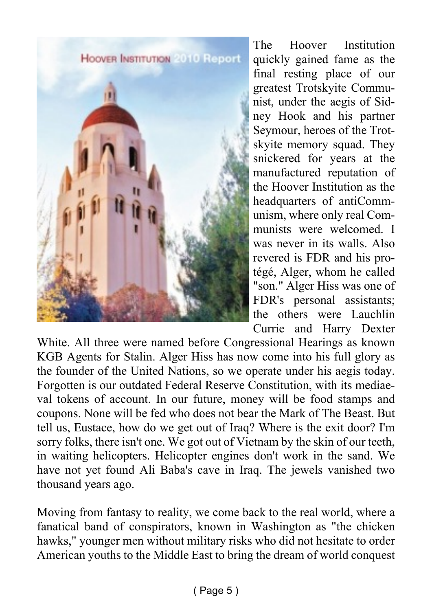

The Hoover Institution quickly gained fame as the final resting place of our greatest Trotskyite Communist, under the aegis of Sidney Hook and his partner Seymour, heroes of the Trotskyite memory squad. They snickered for years at the manufactured reputation of the Hoover Institution as the headquarters of antiCommunism, where only real Communists were welcomed. I was never in its walls. Also revered is FDR and his protégé, Alger, whom he called "son." Alger Hiss was one of FDR's personal assistants; the others were Lauchlin Currie and Harry Dexter

White. All three were named before Congressional Hearings as known KGB Agents for Stalin. Alger Hiss has now come into his full glory as the founder of the United Nations, so we operate under his aegis today. Forgotten is our outdated Federal Reserve Constitution, with its mediaeval tokens of account. In our future, money will be food stamps and coupons. None will be fed who does not bear the Mark of The Beast. But tell us, Eustace, how do we get out of Iraq? Where is the exit door? I'm sorry folks, there isn't one. We got out of Vietnam by the skin of our teeth, in waiting helicopters. Helicopter engines don't work in the sand. We have not yet found Ali Baba's cave in Iraq. The jewels vanished two thousand years ago.

Moving from fantasy to reality, we come back to the real world, where a fanatical band of conspirators, known in Washington as "the chicken hawks," younger men without military risks who did not hesitate to order American youths to the Middle East to bring the dream of world conquest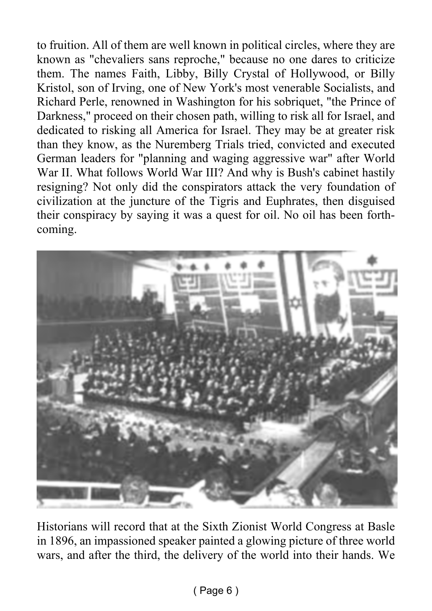to fruition. All of them are well known in political circles, where they are known as "chevaliers sans reproche," because no one dares to criticize them. The names Faith, Libby, Billy Crystal of Hollywood, or Billy Kristol, son of Irving, one of New York's most venerable Socialists, and Richard Perle, renowned in Washington for his sobriquet, "the Prince of Darkness," proceed on their chosen path, willing to risk all for Israel, and dedicated to risking all America for Israel. They may be at greater risk than they know, as the Nuremberg Trials tried, convicted and executed German leaders for "planning and waging aggressive war" after World War II. What follows World War III? And why is Bush's cabinet hastily resigning? Not only did the conspirators attack the very foundation of civilization at the juncture of the Tigris and Euphrates, then disguised their conspiracy by saying it was a quest for oil. No oil has been forthcoming.



Historians will record that at the Sixth Zionist World Congress at Basle in 1896, an impassioned speaker painted a glowing picture of three world wars, and after the third, the delivery of the world into their hands. We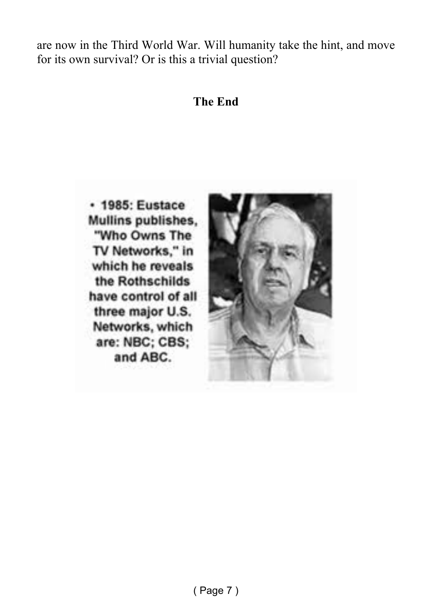are now in the Third World War. Will humanity take the hint, and move for its own survival? Or is this a trivial question?

#### **The End**

· 1985: Eustace Mullins publishes. "Who Owns The TV Networks," in which he reveals the Rothschilds have control of all three major U.S. Networks, which are: NBC; CBS; and ABC.